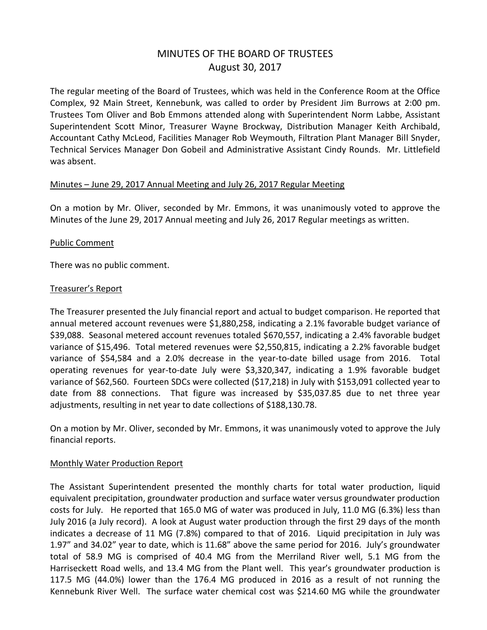# MINUTES OF THE BOARD OF TRUSTEES August 30, 2017

The regular meeting of the Board of Trustees, which was held in the Conference Room at the Office Complex, 92 Main Street, Kennebunk, was called to order by President Jim Burrows at 2:00 pm. Trustees Tom Oliver and Bob Emmons attended along with Superintendent Norm Labbe, Assistant Superintendent Scott Minor, Treasurer Wayne Brockway, Distribution Manager Keith Archibald, Accountant Cathy McLeod, Facilities Manager Rob Weymouth, Filtration Plant Manager Bill Snyder, Technical Services Manager Don Gobeil and Administrative Assistant Cindy Rounds. Mr. Littlefield was absent.

#### Minutes – June 29, 2017 Annual Meeting and July 26, 2017 Regular Meeting

On a motion by Mr. Oliver, seconded by Mr. Emmons, it was unanimously voted to approve the Minutes of the June 29, 2017 Annual meeting and July 26, 2017 Regular meetings as written.

# Public Comment

There was no public comment.

#### Treasurer's Report

The Treasurer presented the July financial report and actual to budget comparison. He reported that annual metered account revenues were \$1,880,258, indicating a 2.1% favorable budget variance of \$39,088. Seasonal metered account revenues totaled \$670,557, indicating a 2.4% favorable budget variance of \$15,496. Total metered revenues were \$2,550,815, indicating a 2.2% favorable budget variance of \$54,584 and a 2.0% decrease in the year-to-date billed usage from 2016. Total operating revenues for year-to-date July were \$3,320,347, indicating a 1.9% favorable budget variance of \$62,560. Fourteen SDCs were collected (\$17,218) in July with \$153,091 collected year to date from 88 connections. That figure was increased by \$35,037.85 due to net three year adjustments, resulting in net year to date collections of \$188,130.78.

On a motion by Mr. Oliver, seconded by Mr. Emmons, it was unanimously voted to approve the July financial reports.

# Monthly Water Production Report

The Assistant Superintendent presented the monthly charts for total water production, liquid equivalent precipitation, groundwater production and surface water versus groundwater production costs for July. He reported that 165.0 MG of water was produced in July, 11.0 MG (6.3%) less than July 2016 (a July record). A look at August water production through the first 29 days of the month indicates a decrease of 11 MG (7.8%) compared to that of 2016. Liquid precipitation in July was 1.97" and 34.02" year to date, which is 11.68" above the same period for 2016. July's groundwater total of 58.9 MG is comprised of 40.4 MG from the Merriland River well, 5.1 MG from the Harriseckett Road wells, and 13.4 MG from the Plant well. This year's groundwater production is 117.5 MG (44.0%) lower than the 176.4 MG produced in 2016 as a result of not running the Kennebunk River Well. The surface water chemical cost was \$214.60 MG while the groundwater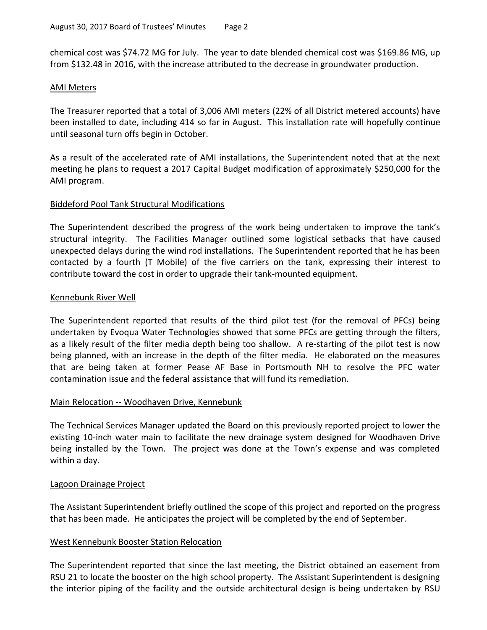chemical cost was \$74.72 MG for July. The year to date blended chemical cost was \$169.86 MG, up from \$132.48 in 2016, with the increase attributed to the decrease in groundwater production.

#### AMI Meters

The Treasurer reported that a total of 3,006 AMI meters (22% of all District metered accounts) have been installed to date, including 414 so far in August. This installation rate will hopefully continue until seasonal turn offs begin in October.

As a result of the accelerated rate of AMI installations, the Superintendent noted that at the next meeting he plans to request a 2017 Capital Budget modification of approximately \$250,000 for the AMI program.

# Biddeford Pool Tank Structural Modifications

The Superintendent described the progress of the work being undertaken to improve the tank's structural integrity. The Facilities Manager outlined some logistical setbacks that have caused unexpected delays during the wind rod installations. The Superintendent reported that he has been contacted by a fourth (T Mobile) of the five carriers on the tank, expressing their interest to contribute toward the cost in order to upgrade their tank-mounted equipment.

# Kennebunk River Well

The Superintendent reported that results of the third pilot test (for the removal of PFCs) being undertaken by Evoqua Water Technologies showed that some PFCs are getting through the filters, as a likely result of the filter media depth being too shallow. A re-starting of the pilot test is now being planned, with an increase in the depth of the filter media. He elaborated on the measures that are being taken at former Pease AF Base in Portsmouth NH to resolve the PFC water contamination issue and the federal assistance that will fund its remediation.

# Main Relocation -- Woodhaven Drive, Kennebunk

The Technical Services Manager updated the Board on this previously reported project to lower the existing 10-inch water main to facilitate the new drainage system designed for Woodhaven Drive being installed by the Town. The project was done at the Town's expense and was completed within a day.

# Lagoon Drainage Project

The Assistant Superintendent briefly outlined the scope of this project and reported on the progress that has been made. He anticipates the project will be completed by the end of September.

# West Kennebunk Booster Station Relocation

The Superintendent reported that since the last meeting, the District obtained an easement from RSU 21 to locate the booster on the high school property. The Assistant Superintendent is designing the interior piping of the facility and the outside architectural design is being undertaken by RSU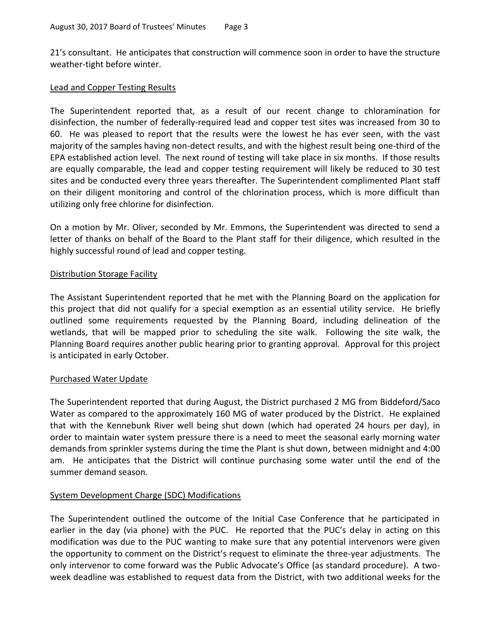21's consultant. He anticipates that construction will commence soon in order to have the structure weather-tight before winter.

#### Lead and Copper Testing Results

The Superintendent reported that, as a result of our recent change to chloramination for disinfection, the number of federally-required lead and copper test sites was increased from 30 to 60. He was pleased to report that the results were the lowest he has ever seen, with the vast majority of the samples having non-detect results, and with the highest result being one-third of the EPA established action level. The next round of testing will take place in six months. If those results are equally comparable, the lead and copper testing requirement will likely be reduced to 30 test sites and be conducted every three years thereafter. The Superintendent complimented Plant staff on their diligent monitoring and control of the chlorination process, which is more difficult than utilizing only free chlorine for disinfection.

On a motion by Mr. Oliver, seconded by Mr. Emmons, the Superintendent was directed to send a letter of thanks on behalf of the Board to the Plant staff for their diligence, which resulted in the highly successful round of lead and copper testing.

# Distribution Storage Facility

The Assistant Superintendent reported that he met with the Planning Board on the application for this project that did not qualify for a special exemption as an essential utility service. He briefly outlined some requirements requested by the Planning Board, including delineation of the wetlands, that will be mapped prior to scheduling the site walk. Following the site walk, the Planning Board requires another public hearing prior to granting approval. Approval for this project is anticipated in early October.

# Purchased Water Update

The Superintendent reported that during August, the District purchased 2 MG from Biddeford/Saco Water as compared to the approximately 160 MG of water produced by the District. He explained that with the Kennebunk River well being shut down (which had operated 24 hours per day), in order to maintain water system pressure there is a need to meet the seasonal early morning water demands from sprinkler systems during the time the Plant is shut down, between midnight and 4:00 am. He anticipates that the District will continue purchasing some water until the end of the summer demand season.

# System Development Charge (SDC) Modifications

The Superintendent outlined the outcome of the Initial Case Conference that he participated in earlier in the day (via phone) with the PUC. He reported that the PUC's delay in acting on this modification was due to the PUC wanting to make sure that any potential intervenors were given the opportunity to comment on the District's request to eliminate the three-year adjustments. The only intervenor to come forward was the Public Advocate's Office (as standard procedure). A twoweek deadline was established to request data from the District, with two additional weeks for the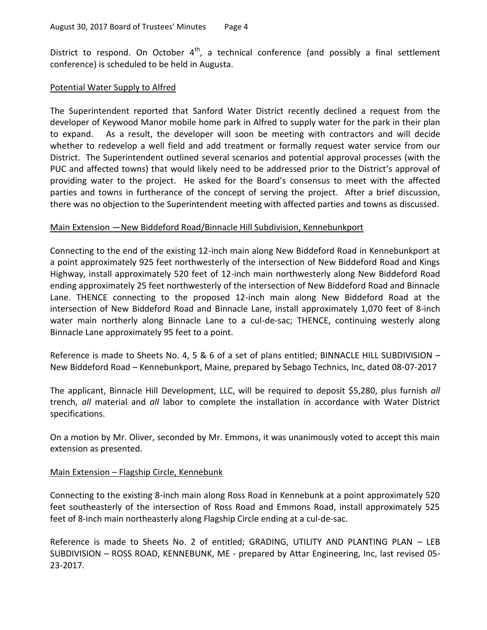District to respond. On October  $4<sup>th</sup>$ , a technical conference (and possibly a final settlement conference) is scheduled to be held in Augusta.

#### Potential Water Supply to Alfred

The Superintendent reported that Sanford Water District recently declined a request from the developer of Keywood Manor mobile home park in Alfred to supply water for the park in their plan to expand. As a result, the developer will soon be meeting with contractors and will decide whether to redevelop a well field and add treatment or formally request water service from our District. The Superintendent outlined several scenarios and potential approval processes (with the PUC and affected towns) that would likely need to be addressed prior to the District's approval of providing water to the project. He asked for the Board's consensus to meet with the affected parties and towns in furtherance of the concept of serving the project. After a brief discussion, there was no objection to the Superintendent meeting with affected parties and towns as discussed.

#### Main Extension —New Biddeford Road/Binnacle Hill Subdivision, Kennebunkport

Connecting to the end of the existing 12-inch main along New Biddeford Road in Kennebunkport at a point approximately 925 feet northwesterly of the intersection of New Biddeford Road and Kings Highway, install approximately 520 feet of 12-inch main northwesterly along New Biddeford Road ending approximately 25 feet northwesterly of the intersection of New Biddeford Road and Binnacle Lane. THENCE connecting to the proposed 12-inch main along New Biddeford Road at the intersection of New Biddeford Road and Binnacle Lane, install approximately 1,070 feet of 8-inch water main northerly along Binnacle Lane to a cul-de-sac; THENCE, continuing westerly along Binnacle Lane approximately 95 feet to a point.

Reference is made to Sheets No. 4, 5 & 6 of a set of plans entitled; BINNACLE HILL SUBDIVISION – New Biddeford Road – Kennebunkport, Maine, prepared by Sebago Technics, Inc, dated 08-07-2017

The applicant, Binnacle Hill Development, LLC, will be required to deposit \$5,280, plus furnish *all* trench, *all* material and *all* labor to complete the installation in accordance with Water District specifications.

On a motion by Mr. Oliver, seconded by Mr. Emmons, it was unanimously voted to accept this main extension as presented.

# Main Extension - Flagship Circle, Kennebunk

Connecting to the existing 8-inch main along Ross Road in Kennebunk at a point approximately 520 feet southeasterly of the intersection of Ross Road and Emmons Road, install approximately 525 feet of 8-inch main northeasterly along Flagship Circle ending at a cul-de-sac.

Reference is made to Sheets No. 2 of entitled; GRADING, UTILITY AND PLANTING PLAN – LEB SUBDIVISION – ROSS ROAD, KENNEBUNK, ME - prepared by Attar Engineering, Inc, last revised 05- 23-2017.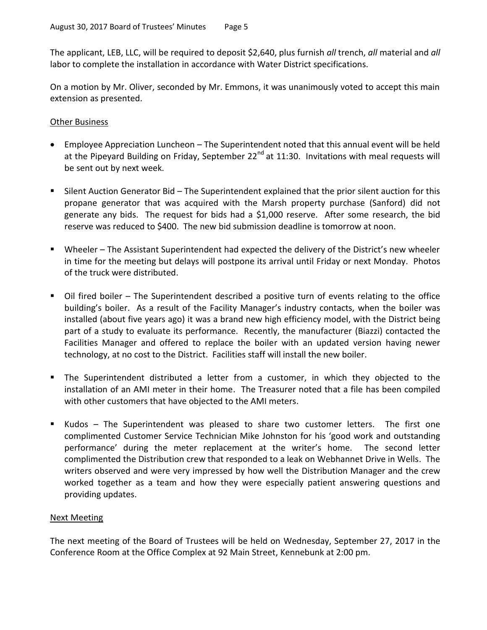The applicant, LEB, LLC, will be required to deposit \$2,640, plus furnish *all* trench, *all* material and *all* labor to complete the installation in accordance with Water District specifications.

On a motion by Mr. Oliver, seconded by Mr. Emmons, it was unanimously voted to accept this main extension as presented.

# Other Business

- Employee Appreciation Luncheon The Superintendent noted that this annual event will be held at the Pipeyard Building on Friday, September  $22^{nd}$  at 11:30. Invitations with meal requests will be sent out by next week.
- Silent Auction Generator Bid The Superintendent explained that the prior silent auction for this propane generator that was acquired with the Marsh property purchase (Sanford) did not generate any bids. The request for bids had a \$1,000 reserve. After some research, the bid reserve was reduced to \$400. The new bid submission deadline is tomorrow at noon.
- Wheeler The Assistant Superintendent had expected the delivery of the District's new wheeler in time for the meeting but delays will postpone its arrival until Friday or next Monday. Photos of the truck were distributed.
- Oil fired boiler The Superintendent described a positive turn of events relating to the office building's boiler. As a result of the Facility Manager's industry contacts, when the boiler was installed (about five years ago) it was a brand new high efficiency model, with the District being part of a study to evaluate its performance. Recently, the manufacturer (Biazzi) contacted the Facilities Manager and offered to replace the boiler with an updated version having newer technology, at no cost to the District. Facilities staff will install the new boiler.
- The Superintendent distributed a letter from a customer, in which they objected to the installation of an AMI meter in their home. The Treasurer noted that a file has been compiled with other customers that have objected to the AMI meters.
- Kudos The Superintendent was pleased to share two customer letters. The first one complimented Customer Service Technician Mike Johnston for his 'good work and outstanding performance' during the meter replacement at the writer's home. The second letter complimented the Distribution crew that responded to a leak on Webhannet Drive in Wells. The writers observed and were very impressed by how well the Distribution Manager and the crew worked together as a team and how they were especially patient answering questions and providing updates.

# Next Meeting

The next meeting of the Board of Trustees will be held on Wednesday, September 27, 2017 in the Conference Room at the Office Complex at 92 Main Street, Kennebunk at 2:00 pm.